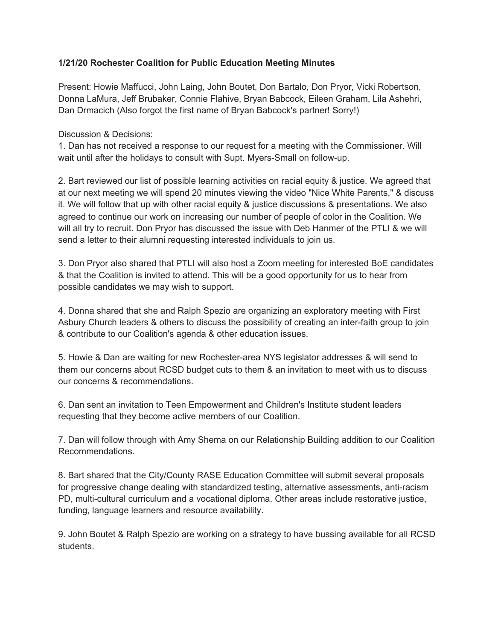## **1/21/20 Rochester Coalition for Public Education Meeting Minutes**

Present: Howie Maffucci, John Laing, John Boutet, Don Bartalo, Don Pryor, Vicki Robertson, Donna LaMura, Jeff Brubaker, Connie Flahive, Bryan Babcock, Eileen Graham, Lila Ashehri, Dan Drmacich (Also forgot the first name of Bryan Babcock's partner! Sorry!)

Discussion & Decisions:

1. Dan has not received a response to our request for a meeting with the Commissioner. Will wait until after the holidays to consult with Supt. Myers-Small on follow-up.

2. Bart reviewed our list of possible learning activities on racial equity & justice. We agreed that at our next meeting we will spend 20 minutes viewing the video "Nice White Parents," & discuss it. We will follow that up with other racial equity & justice discussions & presentations. We also agreed to continue our work on increasing our number of people of color in the Coalition. We will all try to recruit. Don Pryor has discussed the issue with Deb Hanmer of the PTLI & we will send a letter to their alumni requesting interested individuals to join us.

3. Don Pryor also shared that PTLI will also host a Zoom meeting for interested BoE candidates & that the Coalition is invited to attend. This will be a good opportunity for us to hear from possible candidates we may wish to support.

4. Donna shared that she and Ralph Spezio are organizing an exploratory meeting with First Asbury Church leaders & others to discuss the possibility of creating an inter-faith group to join & contribute to our Coalition's agenda & other education issues.

5. Howie & Dan are waiting for new Rochester-area NYS legislator addresses & will send to them our concerns about RCSD budget cuts to them & an invitation to meet with us to discuss our concerns & recommendations.

6. Dan sent an invitation to Teen Empowerment and Children's Institute student leaders requesting that they become active members of our Coalition.

7. Dan will follow through with Amy Shema on our Relationship Building addition to our Coalition Recommendations.

8. Bart shared that the City/County RASE Education Committee will submit several proposals for progressive change dealing with standardized testing, alternative assessments, anti-racism PD, multi-cultural curriculum and a vocational diploma. Other areas include restorative justice, funding, language learners and resource availability.

9. John Boutet & Ralph Spezio are working on a strategy to have bussing available for all RCSD students.